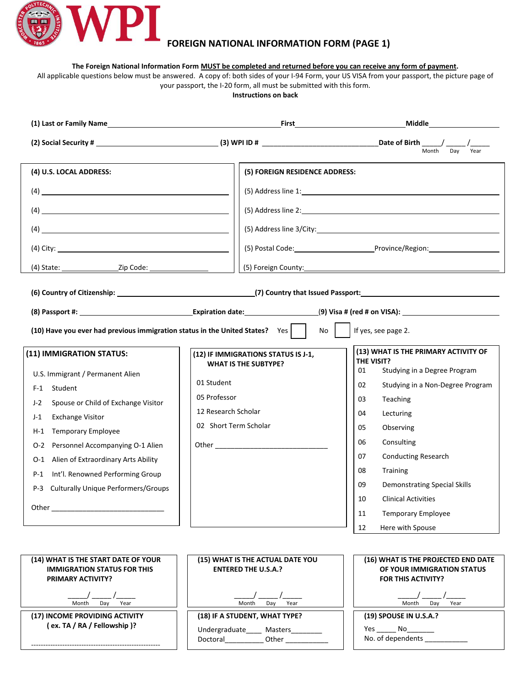

## **FOREIGN NATIONAL INFORMATION FORM (PAGE 1)**

**The Foreign National Information Form MUST be completed and returned before you can receive any form of payment.** 

All applicable questions below must be answered. A copy of: both sides of your I-94 Form, your US VISA from your passport, the picture page of your passport, the I-20 form, all must be submitted with this form.

**Instructions on back** 

|                                                                                                                                                                                                                                                                                                                                                                                         |                                                                                                                                                                                                                                                                                      | Month<br>Day<br>Year                                                                                                                                                                                                                                                                                                              |  |  |
|-----------------------------------------------------------------------------------------------------------------------------------------------------------------------------------------------------------------------------------------------------------------------------------------------------------------------------------------------------------------------------------------|--------------------------------------------------------------------------------------------------------------------------------------------------------------------------------------------------------------------------------------------------------------------------------------|-----------------------------------------------------------------------------------------------------------------------------------------------------------------------------------------------------------------------------------------------------------------------------------------------------------------------------------|--|--|
| (4) U.S. LOCAL ADDRESS:<br>(4)<br>$(4) \begin{tabular}{l} \hline \rule{0.2cm}{0.15cm} \rule{2.2cm}{0.15cm} \rule{0.2cm}{0.15cm} \rule{0.2cm}{0.15cm} \rule{0.2cm}{0.15cm} \rule{0.2cm}{0.15cm} \rule{0.2cm}{0.15cm} \rule{0.2cm}{0.15cm} \rule{0.2cm}{0.15cm} \rule{0.2cm}{0.15cm} \rule{0.2cm}{0.15cm} \rule{0.2cm}{0.15cm} \rule{0.2cm}{0.15cm} \rule{0.2cm}{0.15cm} \rule{0.2cm}{0.$ | (5) FOREIGN RESIDENCE ADDRESS:                                                                                                                                                                                                                                                       | (5) Address line 2: 100 million and 2.1 million and 2.1 million and 2.1 million and 2.1 million and 2.1 million and 2.1 million and 2.1 million and 2.1 million and 2.1 million and 2.1 million and 2.1 million and 2.1 millio<br>(5) Postal Code: Province/Region: National Code: Network Code:                                  |  |  |
| (10) Have you ever had previous immigration status in the United States? Yes<br>(11) IMMIGRATION STATUS:<br>U.S. Immigrant / Permanent Alien<br>Student<br>$F-1$<br>$J-2$<br>Spouse or Child of Exchange Visitor<br>$J-1$<br><b>Exchange Visitor</b><br><b>Temporary Employee</b><br>$H-1$<br>Personnel Accompanying O-1 Alien<br>$O-2$                                                 | <b>No</b><br>(12) IF IMMIGRATIONS STATUS IS J-1,<br><b>WHAT IS THE SUBTYPE?</b><br>01 Student<br>05 Professor<br>12 Research Scholar<br>02 Short Term Scholar                                                                                                                        | If yes, see page 2.<br>(13) WHAT IS THE PRIMARY ACTIVITY OF<br>THE VISIT?<br>Studying in a Degree Program<br>01<br>Studying in a Non-Degree Program<br>02<br>03<br>Teaching<br>04<br>Lecturing<br>05<br>Observing<br>Consulting<br>06                                                                                             |  |  |
| Alien of Extraordinary Arts Ability<br>O-1<br>Int'l. Renowned Performing Group<br>P-1<br><b>Culturally Unique Performers/Groups</b><br>P-3<br>Other_<br>(14) WHAT IS THE START DATE OF YOUR<br><b>IMMIGRATION STATUS FOR THIS</b><br><b>PRIMARY ACTIVITY?</b><br>Month<br>Day<br>Year                                                                                                   | (15) WHAT IS THE ACTUAL DATE YOU<br><b>ENTERED THE U.S.A.?</b><br>Month<br>Day<br>Year                                                                                                                                                                                               | 07<br><b>Conducting Research</b><br>08<br><b>Training</b><br>09<br><b>Demonstrating Special Skills</b><br>10<br><b>Clinical Activities</b><br><b>Temporary Employee</b><br>11<br>12<br>Here with Spouse<br>(16) WHAT IS THE PROJECTED END DATE<br>OF YOUR IMMIGRATION STATUS<br><b>FOR THIS ACTIVITY?</b><br>Month<br>Day<br>Year |  |  |
| (17) INCOME PROVIDING ACTIVITY<br>(ex. TA / RA / Fellowship)?                                                                                                                                                                                                                                                                                                                           | (18) IF A STUDENT, WHAT TYPE?<br>Undergraduate Legana Masters Legana Masters Legana Masters Legana Masters Legana Masters Legana Masters Legana Masters Legana Masters Legana Masters Legana Masters Legana Masters Legana Masters Legana Masters Legana Master<br>Doctoral<br>Other | (19) SPOUSE IN U.S.A.?<br>Yes No<br>No. of dependents                                                                                                                                                                                                                                                                             |  |  |

------------------------------------------------------

| (18) IF A STUDENT, WHAT TYPE? |                |  |  |  |
|-------------------------------|----------------|--|--|--|
| Undergraduate                 | <b>Masters</b> |  |  |  |
| Doctoral                      | Other          |  |  |  |